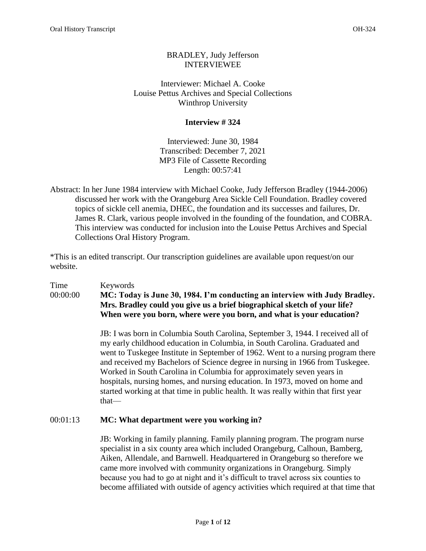# BRADLEY, Judy Jefferson INTERVIEWEE

Interviewer: Michael A. Cooke Louise Pettus Archives and Special Collections Winthrop University

# **Interview # 324**

Interviewed: June 30, 1984 Transcribed: December 7, 2021 MP3 File of Cassette Recording Length: 00:57:41

Abstract: In her June 1984 interview with Michael Cooke, Judy Jefferson Bradley (1944-2006) discussed her work with the Orangeburg Area Sickle Cell Foundation. Bradley covered topics of sickle cell anemia, DHEC, the foundation and its successes and failures, Dr. James R. Clark, various people involved in the founding of the foundation, and COBRA. This interview was conducted for inclusion into the Louise Pettus Archives and Special Collections Oral History Program.

\*This is an edited transcript. Our transcription guidelines are available upon request/on our website.

Time Keywords 00:00:00 **MC: Today is June 30, 1984. I'm conducting an interview with Judy Bradley. Mrs. Bradley could you give us a brief biographical sketch of your life? When were you born, where were you born, and what is your education?** 

> JB: I was born in Columbia South Carolina, September 3, 1944. I received all of my early childhood education in Columbia, in South Carolina. Graduated and went to Tuskegee Institute in September of 1962. Went to a nursing program there and received my Bachelors of Science degree in nursing in 1966 from Tuskegee. Worked in South Carolina in Columbia for approximately seven years in hospitals, nursing homes, and nursing education. In 1973, moved on home and started working at that time in public health. It was really within that first year that—

### 00:01:13 **MC: What department were you working in?**

JB: Working in family planning. Family planning program. The program nurse specialist in a six county area which included Orangeburg, Calhoun, Bamberg, Aiken, Allendale, and Barnwell. Headquartered in Orangeburg so therefore we came more involved with community organizations in Orangeburg. Simply because you had to go at night and it's difficult to travel across six counties to become affiliated with outside of agency activities which required at that time that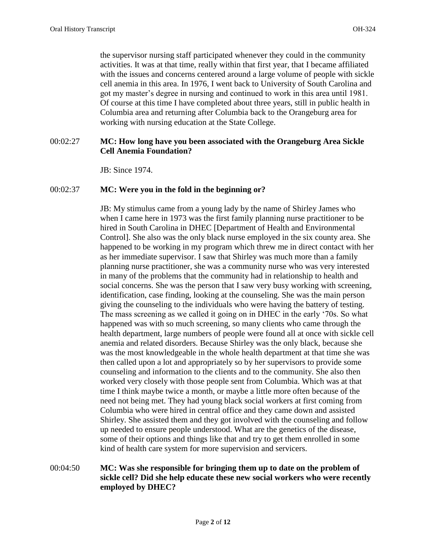the supervisor nursing staff participated whenever they could in the community activities. It was at that time, really within that first year, that I became affiliated with the issues and concerns centered around a large volume of people with sickle cell anemia in this area. In 1976, I went back to University of South Carolina and got my master's degree in nursing and continued to work in this area until 1981. Of course at this time I have completed about three years, still in public health in Columbia area and returning after Columbia back to the Orangeburg area for working with nursing education at the State College.

## 00:02:27 **MC: How long have you been associated with the Orangeburg Area Sickle Cell Anemia Foundation?**

JB: Since 1974.

#### 00:02:37 **MC: Were you in the fold in the beginning or?**

JB: My stimulus came from a young lady by the name of Shirley James who when I came here in 1973 was the first family planning nurse practitioner to be hired in South Carolina in DHEC [Department of Health and Environmental Control]. She also was the only black nurse employed in the six county area. She happened to be working in my program which threw me in direct contact with her as her immediate supervisor. I saw that Shirley was much more than a family planning nurse practitioner, she was a community nurse who was very interested in many of the problems that the community had in relationship to health and social concerns. She was the person that I saw very busy working with screening, identification, case finding, looking at the counseling. She was the main person giving the counseling to the individuals who were having the battery of testing. The mass screening as we called it going on in DHEC in the early '70s. So what happened was with so much screening, so many clients who came through the health department, large numbers of people were found all at once with sickle cell anemia and related disorders. Because Shirley was the only black, because she was the most knowledgeable in the whole health department at that time she was then called upon a lot and appropriately so by her supervisors to provide some counseling and information to the clients and to the community. She also then worked very closely with those people sent from Columbia. Which was at that time I think maybe twice a month, or maybe a little more often because of the need not being met. They had young black social workers at first coming from Columbia who were hired in central office and they came down and assisted Shirley. She assisted them and they got involved with the counseling and follow up needed to ensure people understood. What are the genetics of the disease, some of their options and things like that and try to get them enrolled in some kind of health care system for more supervision and servicers.

# 00:04:50 **MC: Was she responsible for bringing them up to date on the problem of sickle cell? Did she help educate these new social workers who were recently employed by DHEC?**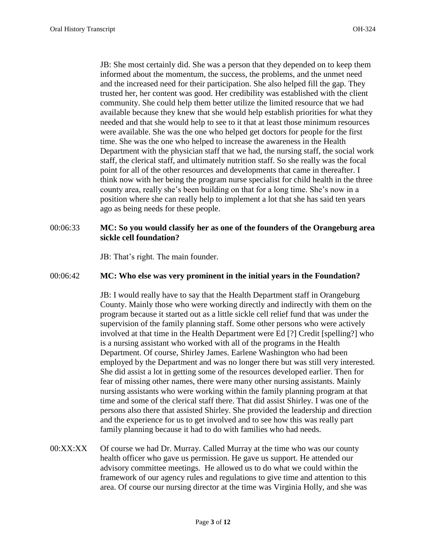JB: She most certainly did. She was a person that they depended on to keep them informed about the momentum, the success, the problems, and the unmet need and the increased need for their participation. She also helped fill the gap. They trusted her, her content was good. Her credibility was established with the client community. She could help them better utilize the limited resource that we had available because they knew that she would help establish priorities for what they needed and that she would help to see to it that at least those minimum resources were available. She was the one who helped get doctors for people for the first time. She was the one who helped to increase the awareness in the Health Department with the physician staff that we had, the nursing staff, the social work staff, the clerical staff, and ultimately nutrition staff. So she really was the focal point for all of the other resources and developments that came in thereafter. I think now with her being the program nurse specialist for child health in the three county area, really she's been building on that for a long time. She's now in a position where she can really help to implement a lot that she has said ten years ago as being needs for these people.

### 00:06:33 **MC: So you would classify her as one of the founders of the Orangeburg area sickle cell foundation?**

JB: That's right. The main founder.

#### 00:06:42 **MC: Who else was very prominent in the initial years in the Foundation?**

JB: I would really have to say that the Health Department staff in Orangeburg County. Mainly those who were working directly and indirectly with them on the program because it started out as a little sickle cell relief fund that was under the supervision of the family planning staff. Some other persons who were actively involved at that time in the Health Department were Ed [?] Credit [spelling?] who is a nursing assistant who worked with all of the programs in the Health Department. Of course, Shirley James. Earlene Washington who had been employed by the Department and was no longer there but was still very interested. She did assist a lot in getting some of the resources developed earlier. Then for fear of missing other names, there were many other nursing assistants. Mainly nursing assistants who were working within the family planning program at that time and some of the clerical staff there. That did assist Shirley. I was one of the persons also there that assisted Shirley. She provided the leadership and direction and the experience for us to get involved and to see how this was really part family planning because it had to do with families who had needs.

00:XX:XX Of course we had Dr. Murray. Called Murray at the time who was our county health officer who gave us permission. He gave us support. He attended our advisory committee meetings. He allowed us to do what we could within the framework of our agency rules and regulations to give time and attention to this area. Of course our nursing director at the time was Virginia Holly, and she was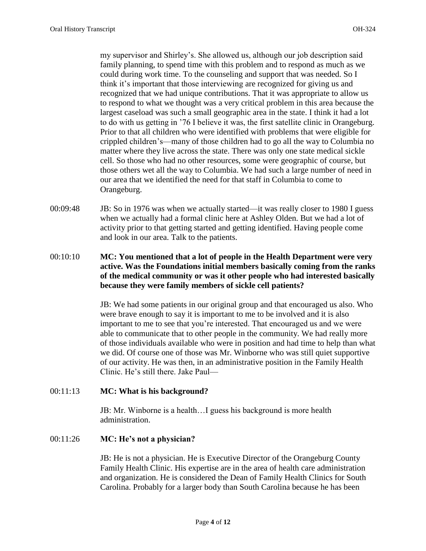my supervisor and Shirley's. She allowed us, although our job description said family planning, to spend time with this problem and to respond as much as we could during work time. To the counseling and support that was needed. So I think it's important that those interviewing are recognized for giving us and recognized that we had unique contributions. That it was appropriate to allow us to respond to what we thought was a very critical problem in this area because the largest caseload was such a small geographic area in the state. I think it had a lot to do with us getting in '76 I believe it was, the first satellite clinic in Orangeburg. Prior to that all children who were identified with problems that were eligible for crippled children's—many of those children had to go all the way to Columbia no matter where they live across the state. There was only one state medical sickle cell. So those who had no other resources, some were geographic of course, but those others wet all the way to Columbia. We had such a large number of need in our area that we identified the need for that staff in Columbia to come to Orangeburg.

- 00:09:48 JB: So in 1976 was when we actually started—it was really closer to 1980 I guess when we actually had a formal clinic here at Ashley Olden. But we had a lot of activity prior to that getting started and getting identified. Having people come and look in our area. Talk to the patients.
- 00:10:10 **MC: You mentioned that a lot of people in the Health Department were very active. Was the Foundations initial members basically coming from the ranks of the medical community or was it other people who had interested basically because they were family members of sickle cell patients?**

JB: We had some patients in our original group and that encouraged us also. Who were brave enough to say it is important to me to be involved and it is also important to me to see that you're interested. That encouraged us and we were able to communicate that to other people in the community. We had really more of those individuals available who were in position and had time to help than what we did. Of course one of those was Mr. Winborne who was still quiet supportive of our activity. He was then, in an administrative position in the Family Health Clinic. He's still there. Jake Paul—

#### 00:11:13 **MC: What is his background?**

JB: Mr. Winborne is a health…I guess his background is more health administration.

#### 00:11:26 **MC: He's not a physician?**

JB: He is not a physician. He is Executive Director of the Orangeburg County Family Health Clinic. His expertise are in the area of health care administration and organization. He is considered the Dean of Family Health Clinics for South Carolina. Probably for a larger body than South Carolina because he has been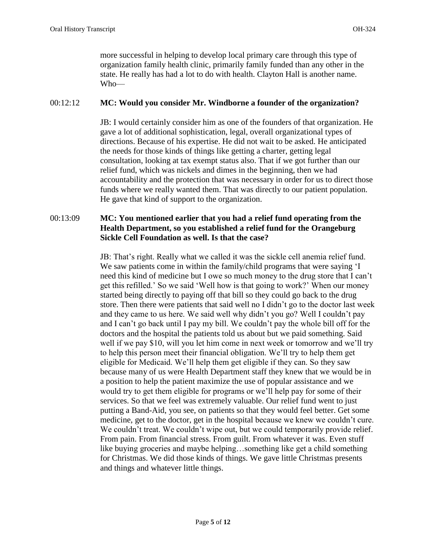more successful in helping to develop local primary care through this type of organization family health clinic, primarily family funded than any other in the state. He really has had a lot to do with health. Clayton Hall is another name. Who—

# 00:12:12 **MC: Would you consider Mr. Windborne a founder of the organization?**

JB: I would certainly consider him as one of the founders of that organization. He gave a lot of additional sophistication, legal, overall organizational types of directions. Because of his expertise. He did not wait to be asked. He anticipated the needs for those kinds of things like getting a charter, getting legal consultation, looking at tax exempt status also. That if we got further than our relief fund, which was nickels and dimes in the beginning, then we had accountability and the protection that was necessary in order for us to direct those funds where we really wanted them. That was directly to our patient population. He gave that kind of support to the organization.

# 00:13:09 **MC: You mentioned earlier that you had a relief fund operating from the Health Department, so you established a relief fund for the Orangeburg Sickle Cell Foundation as well. Is that the case?**

JB: That's right. Really what we called it was the sickle cell anemia relief fund. We saw patients come in within the family/child programs that were saying 'I need this kind of medicine but I owe so much money to the drug store that I can't get this refilled.' So we said 'Well how is that going to work?' When our money started being directly to paying off that bill so they could go back to the drug store. Then there were patients that said well no I didn't go to the doctor last week and they came to us here. We said well why didn't you go? Well I couldn't pay and I can't go back until I pay my bill. We couldn't pay the whole bill off for the doctors and the hospital the patients told us about but we paid something. Said well if we pay \$10, will you let him come in next week or tomorrow and we'll try to help this person meet their financial obligation. We'll try to help them get eligible for Medicaid. We'll help them get eligible if they can. So they saw because many of us were Health Department staff they knew that we would be in a position to help the patient maximize the use of popular assistance and we would try to get them eligible for programs or we'll help pay for some of their services. So that we feel was extremely valuable. Our relief fund went to just putting a Band-Aid, you see, on patients so that they would feel better. Get some medicine, get to the doctor, get in the hospital because we knew we couldn't cure. We couldn't treat. We couldn't wipe out, but we could temporarily provide relief. From pain. From financial stress. From guilt. From whatever it was. Even stuff like buying groceries and maybe helping…something like get a child something for Christmas. We did those kinds of things. We gave little Christmas presents and things and whatever little things.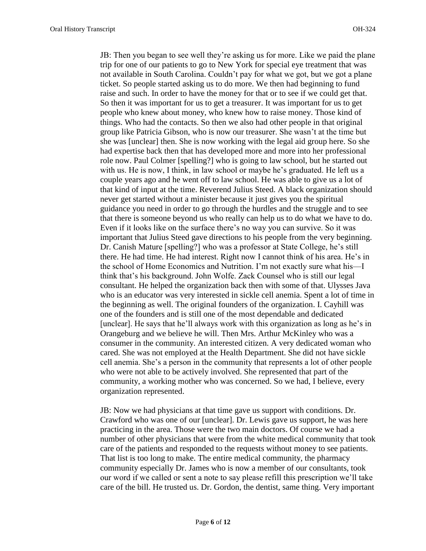JB: Then you began to see well they're asking us for more. Like we paid the plane trip for one of our patients to go to New York for special eye treatment that was not available in South Carolina. Couldn't pay for what we got, but we got a plane ticket. So people started asking us to do more. We then had beginning to fund raise and such. In order to have the money for that or to see if we could get that. So then it was important for us to get a treasurer. It was important for us to get people who knew about money, who knew how to raise money. Those kind of things. Who had the contacts. So then we also had other people in that original group like Patricia Gibson, who is now our treasurer. She wasn't at the time but she was [unclear] then. She is now working with the legal aid group here. So she had expertise back then that has developed more and more into her professional role now. Paul Colmer [spelling?] who is going to law school, but he started out with us. He is now, I think, in law school or maybe he's graduated. He left us a couple years ago and he went off to law school. He was able to give us a lot of that kind of input at the time. Reverend Julius Steed. A black organization should never get started without a minister because it just gives you the spiritual guidance you need in order to go through the hurdles and the struggle and to see that there is someone beyond us who really can help us to do what we have to do. Even if it looks like on the surface there's no way you can survive. So it was important that Julius Steed gave directions to his people from the very beginning. Dr. Canish Mature [spelling?] who was a professor at State College, he's still there. He had time. He had interest. Right now I cannot think of his area. He's in the school of Home Economics and Nutrition. I'm not exactly sure what his—I think that's his background. John Wolfe. Zack Counsel who is still our legal consultant. He helped the organization back then with some of that. Ulysses Java who is an educator was very interested in sickle cell anemia. Spent a lot of time in the beginning as well. The original founders of the organization. I. Cayhill was one of the founders and is still one of the most dependable and dedicated [unclear]. He says that he'll always work with this organization as long as he's in Orangeburg and we believe he will. Then Mrs. Arthur McKinley who was a consumer in the community. An interested citizen. A very dedicated woman who cared. She was not employed at the Health Department. She did not have sickle cell anemia. She's a person in the community that represents a lot of other people who were not able to be actively involved. She represented that part of the community, a working mother who was concerned. So we had, I believe, every organization represented.

JB: Now we had physicians at that time gave us support with conditions. Dr. Crawford who was one of our [unclear]. Dr. Lewis gave us support, he was here practicing in the area. Those were the two main doctors. Of course we had a number of other physicians that were from the white medical community that took care of the patients and responded to the requests without money to see patients. That list is too long to make. The entire medical community, the pharmacy community especially Dr. James who is now a member of our consultants, took our word if we called or sent a note to say please refill this prescription we'll take care of the bill. He trusted us. Dr. Gordon, the dentist, same thing. Very important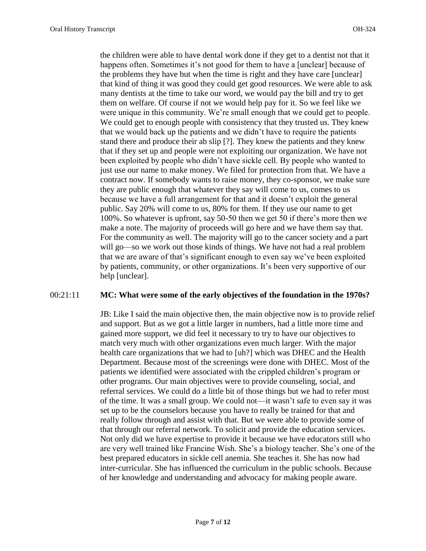the children were able to have dental work done if they get to a dentist not that it happens often. Sometimes it's not good for them to have a [unclear] because of the problems they have but when the time is right and they have care [unclear] that kind of thing it was good they could get good resources. We were able to ask many dentists at the time to take our word, we would pay the bill and try to get them on welfare. Of course if not we would help pay for it. So we feel like we were unique in this community. We're small enough that we could get to people. We could get to enough people with consistency that they trusted us. They knew that we would back up the patients and we didn't have to require the patients stand there and produce their ab slip [?]. They knew the patients and they knew that if they set up and people were not exploiting our organization. We have not been exploited by people who didn't have sickle cell. By people who wanted to just use our name to make money. We filed for protection from that. We have a contract now. If somebody wants to raise money, they co-sponsor, we make sure they are public enough that whatever they say will come to us, comes to us because we have a full arrangement for that and it doesn't exploit the general public. Say 20% will come to us, 80% for them. If they use our name to get 100%. So whatever is upfront, say 50-50 then we get 50 if there's more then we make a note. The majority of proceeds will go here and we have them say that. For the community as well. The majority will go to the cancer society and a part will go—so we work out those kinds of things. We have not had a real problem that we are aware of that's significant enough to even say we've been exploited by patients, community, or other organizations. It's been very supportive of our help [unclear].

#### 00:21:11 **MC: What were some of the early objectives of the foundation in the 1970s?**

JB: Like I said the main objective then, the main objective now is to provide relief and support. But as we got a little larger in numbers, had a little more time and gained more support, we did feel it necessary to try to have our objectives to match very much with other organizations even much larger. With the major health care organizations that we had to [uh?] which was DHEC and the Health Department. Because most of the screenings were done with DHEC. Most of the patients we identified were associated with the crippled children's program or other programs. Our main objectives were to provide counseling, social, and referral services. We could do a little bit of those things but we had to refer most of the time. It was a small group. We could not—it wasn't safe to even say it was set up to be the counselors because you have to really be trained for that and really follow through and assist with that. But we were able to provide some of that through our referral network. To solicit and provide the education services. Not only did we have expertise to provide it because we have educators still who are very well trained like Francine Wish. She's a biology teacher. She's one of the best prepared educators in sickle cell anemia. She teaches it. She has now had inter-curricular. She has influenced the curriculum in the public schools. Because of her knowledge and understanding and advocacy for making people aware.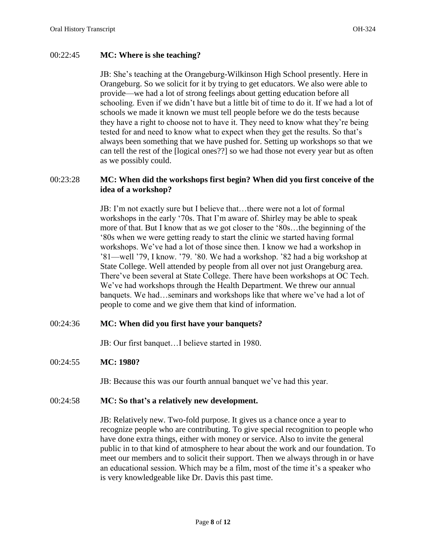### 00:22:45 **MC: Where is she teaching?**

JB: She's teaching at the Orangeburg-Wilkinson High School presently. Here in Orangeburg. So we solicit for it by trying to get educators. We also were able to provide—we had a lot of strong feelings about getting education before all schooling. Even if we didn't have but a little bit of time to do it. If we had a lot of schools we made it known we must tell people before we do the tests because they have a right to choose not to have it. They need to know what they're being tested for and need to know what to expect when they get the results. So that's always been something that we have pushed for. Setting up workshops so that we can tell the rest of the [logical ones??] so we had those not every year but as often as we possibly could.

# 00:23:28 **MC: When did the workshops first begin? When did you first conceive of the idea of a workshop?**

JB: I'm not exactly sure but I believe that…there were not a lot of formal workshops in the early '70s. That I'm aware of. Shirley may be able to speak more of that. But I know that as we got closer to the '80s…the beginning of the '80s when we were getting ready to start the clinic we started having formal workshops. We've had a lot of those since then. I know we had a workshop in '81—well '79, I know. '79. '80. We had a workshop. '82 had a big workshop at State College. Well attended by people from all over not just Orangeburg area. There've been several at State College. There have been workshops at OC Tech. We've had workshops through the Health Department. We threw our annual banquets. We had…seminars and workshops like that where we've had a lot of people to come and we give them that kind of information.

### 00:24:36 **MC: When did you first have your banquets?**

JB: Our first banquet…I believe started in 1980.

### 00:24:55 **MC: 1980?**

JB: Because this was our fourth annual banquet we've had this year.

### 00:24:58 **MC: So that's a relatively new development.**

JB: Relatively new. Two-fold purpose. It gives us a chance once a year to recognize people who are contributing. To give special recognition to people who have done extra things, either with money or service. Also to invite the general public in to that kind of atmosphere to hear about the work and our foundation. To meet our members and to solicit their support. Then we always through in or have an educational session. Which may be a film, most of the time it's a speaker who is very knowledgeable like Dr. Davis this past time.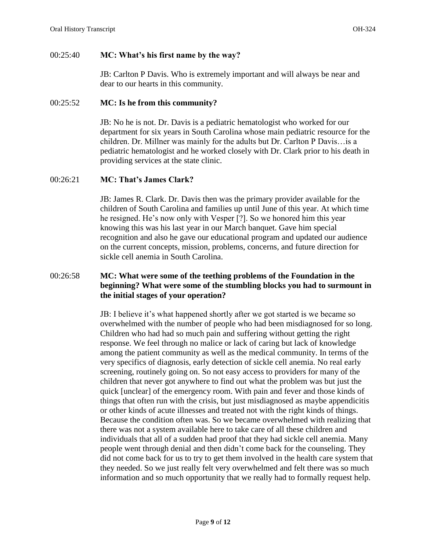# 00:25:40 **MC: What's his first name by the way?**

JB: Carlton P Davis. Who is extremely important and will always be near and dear to our hearts in this community.

# 00:25:52 **MC: Is he from this community?**

JB: No he is not. Dr. Davis is a pediatric hematologist who worked for our department for six years in South Carolina whose main pediatric resource for the children. Dr. Millner was mainly for the adults but Dr. Carlton P Davis…is a pediatric hematologist and he worked closely with Dr. Clark prior to his death in providing services at the state clinic.

### 00:26:21 **MC: That's James Clark?**

JB: James R. Clark. Dr. Davis then was the primary provider available for the children of South Carolina and families up until June of this year. At which time he resigned. He's now only with Vesper [?]. So we honored him this year knowing this was his last year in our March banquet. Gave him special recognition and also he gave our educational program and updated our audience on the current concepts, mission, problems, concerns, and future direction for sickle cell anemia in South Carolina.

# 00:26:58 **MC: What were some of the teething problems of the Foundation in the beginning? What were some of the stumbling blocks you had to surmount in the initial stages of your operation?**

JB: I believe it's what happened shortly after we got started is we became so overwhelmed with the number of people who had been misdiagnosed for so long. Children who had had so much pain and suffering without getting the right response. We feel through no malice or lack of caring but lack of knowledge among the patient community as well as the medical community. In terms of the very specifics of diagnosis, early detection of sickle cell anemia. No real early screening, routinely going on. So not easy access to providers for many of the children that never got anywhere to find out what the problem was but just the quick [unclear] of the emergency room. With pain and fever and those kinds of things that often run with the crisis, but just misdiagnosed as maybe appendicitis or other kinds of acute illnesses and treated not with the right kinds of things. Because the condition often was. So we became overwhelmed with realizing that there was not a system available here to take care of all these children and individuals that all of a sudden had proof that they had sickle cell anemia. Many people went through denial and then didn't come back for the counseling. They did not come back for us to try to get them involved in the health care system that they needed. So we just really felt very overwhelmed and felt there was so much information and so much opportunity that we really had to formally request help.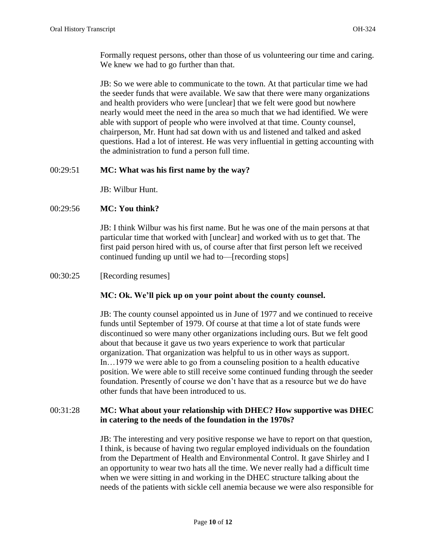Formally request persons, other than those of us volunteering our time and caring. We knew we had to go further than that.

JB: So we were able to communicate to the town. At that particular time we had the seeder funds that were available. We saw that there were many organizations and health providers who were [unclear] that we felt were good but nowhere nearly would meet the need in the area so much that we had identified. We were able with support of people who were involved at that time. County counsel, chairperson, Mr. Hunt had sat down with us and listened and talked and asked questions. Had a lot of interest. He was very influential in getting accounting with the administration to fund a person full time.

# 00:29:51 **MC: What was his first name by the way?**

JB: Wilbur Hunt.

# 00:29:56 **MC: You think?**

JB: I think Wilbur was his first name. But he was one of the main persons at that particular time that worked with [unclear] and worked with us to get that. The first paid person hired with us, of course after that first person left we received continued funding up until we had to—[recording stops]

# 00:30:25 [Recording resumes]

### **MC: Ok. We'll pick up on your point about the county counsel.**

JB: The county counsel appointed us in June of 1977 and we continued to receive funds until September of 1979. Of course at that time a lot of state funds were discontinued so were many other organizations including ours. But we felt good about that because it gave us two years experience to work that particular organization. That organization was helpful to us in other ways as support. In…1979 we were able to go from a counseling position to a health educative position. We were able to still receive some continued funding through the seeder foundation. Presently of course we don't have that as a resource but we do have other funds that have been introduced to us.

# 00:31:28 **MC: What about your relationship with DHEC? How supportive was DHEC in catering to the needs of the foundation in the 1970s?**

JB: The interesting and very positive response we have to report on that question, I think, is because of having two regular employed individuals on the foundation from the Department of Health and Environmental Control. It gave Shirley and I an opportunity to wear two hats all the time. We never really had a difficult time when we were sitting in and working in the DHEC structure talking about the needs of the patients with sickle cell anemia because we were also responsible for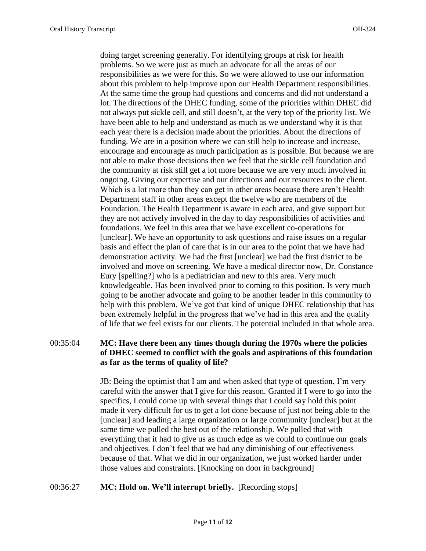doing target screening generally. For identifying groups at risk for health problems. So we were just as much an advocate for all the areas of our responsibilities as we were for this. So we were allowed to use our information about this problem to help improve upon our Health Department responsibilities. At the same time the group had questions and concerns and did not understand a lot. The directions of the DHEC funding, some of the priorities within DHEC did not always put sickle cell, and still doesn't, at the very top of the priority list. We have been able to help and understand as much as we understand why it is that each year there is a decision made about the priorities. About the directions of funding. We are in a position where we can still help to increase and increase, encourage and encourage as much participation as is possible. But because we are not able to make those decisions then we feel that the sickle cell foundation and the community at risk still get a lot more because we are very much involved in ongoing. Giving our expertise and our directions and our resources to the client. Which is a lot more than they can get in other areas because there aren't Health Department staff in other areas except the twelve who are members of the Foundation. The Health Department is aware in each area, and give support but they are not actively involved in the day to day responsibilities of activities and foundations. We feel in this area that we have excellent co-operations for [unclear]. We have an opportunity to ask questions and raise issues on a regular basis and effect the plan of care that is in our area to the point that we have had demonstration activity. We had the first [unclear] we had the first district to be involved and move on screening. We have a medical director now, Dr. Constance Eury [spelling?] who is a pediatrician and new to this area. Very much knowledgeable. Has been involved prior to coming to this position. Is very much going to be another advocate and going to be another leader in this community to help with this problem. We've got that kind of unique DHEC relationship that has been extremely helpful in the progress that we've had in this area and the quality of life that we feel exists for our clients. The potential included in that whole area.

# 00:35:04 **MC: Have there been any times though during the 1970s where the policies of DHEC seemed to conflict with the goals and aspirations of this foundation as far as the terms of quality of life?**

JB: Being the optimist that I am and when asked that type of question, I'm very careful with the answer that I give for this reason. Granted if I were to go into the specifics, I could come up with several things that I could say hold this point made it very difficult for us to get a lot done because of just not being able to the [unclear] and leading a large organization or large community [unclear] but at the same time we pulled the best out of the relationship. We pulled that with everything that it had to give us as much edge as we could to continue our goals and objectives. I don't feel that we had any diminishing of our effectiveness because of that. What we did in our organization, we just worked harder under those values and constraints. [Knocking on door in background]

### 00:36:27 **MC: Hold on. We'll interrupt briefly.** [Recording stops]